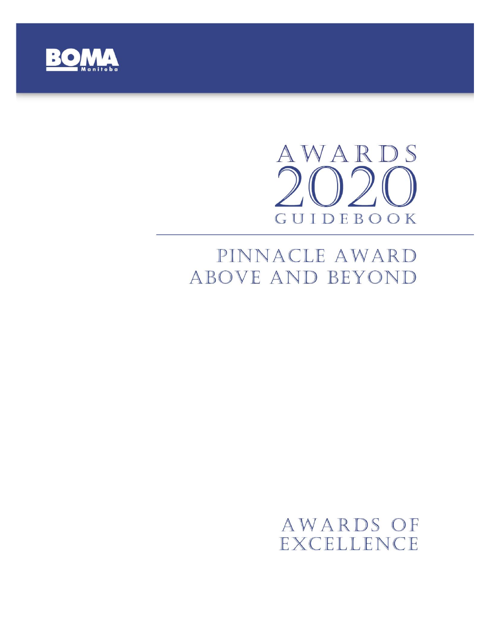

# AWARDS  $\bigcap$ GUIDEBOOK

# PINNACLE AWARD ABOVE AND BEYOND

# AWARDS OF EXCELLENCE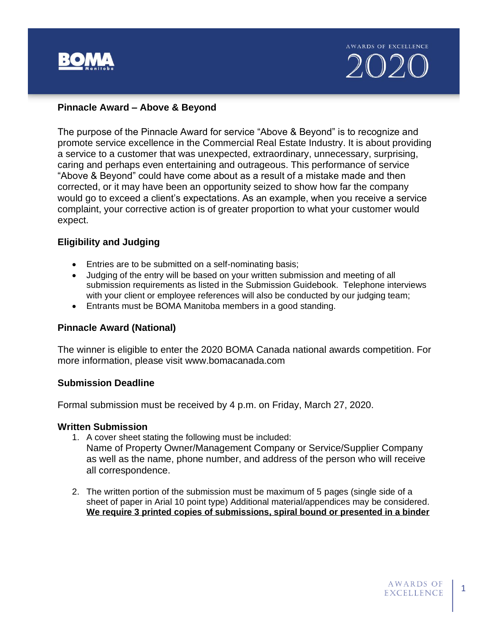

#### **Pinnacle Award – Above & Beyond**

The purpose of the Pinnacle Award for service "Above & Beyond" is to recognize and promote service excellence in the Commercial Real Estate Industry. It is about providing a service to a customer that was unexpected, extraordinary, unnecessary, surprising, caring and perhaps even entertaining and outrageous. This performance of service "Above & Beyond" could have come about as a result of a mistake made and then corrected, or it may have been an opportunity seized to show how far the company would go to exceed a client's expectations. As an example, when you receive a service complaint, your corrective action is of greater proportion to what your customer would expect.

#### **Eligibility and Judging**

- Entries are to be submitted on a self-nominating basis;
- Judging of the entry will be based on your written submission and meeting of all submission requirements as listed in the Submission Guidebook. Telephone interviews with your client or employee references will also be conducted by our judging team;
- Entrants must be BOMA Manitoba members in a good standing.

#### **Pinnacle Award (National)**

The winner is eligible to enter the 2020 BOMA Canada national awards competition. For more information, please visit www.bomacanada.com

#### **Submission Deadline**

Formal submission must be received by 4 p.m. on Friday, March 27, 2020.

#### **Written Submission**

- 1. A cover sheet stating the following must be included:
	- Name of Property Owner/Management Company or Service/Supplier Company as well as the name, phone number, and address of the person who will receive all correspondence.
- 2. The written portion of the submission must be maximum of 5 pages (single side of a sheet of paper in Arial 10 point type) Additional material/appendices may be considered. **We require 3 printed copies of submissions, spiral bound or presented in a binder**

1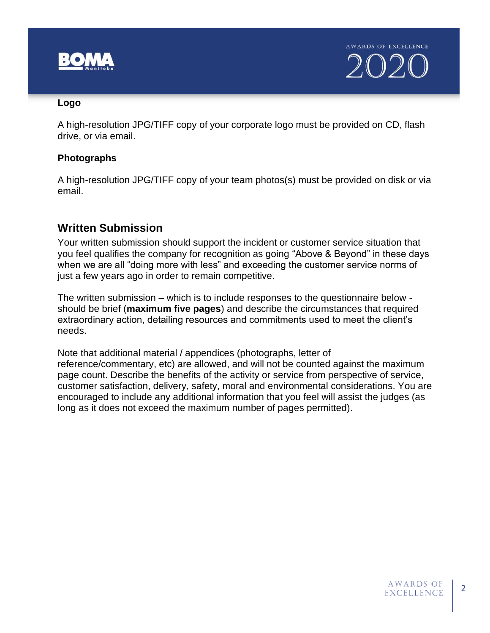

#### **Logo**

A high-resolution JPG/TIFF copy of your corporate logo must be provided on CD, flash drive, or via email.

### **Photographs**

A high-resolution JPG/TIFF copy of your team photos(s) must be provided on disk or via email.

# **Written Submission**

Your written submission should support the incident or customer service situation that you feel qualifies the company for recognition as going "Above & Beyond" in these days when we are all "doing more with less" and exceeding the customer service norms of just a few years ago in order to remain competitive.

The written submission – which is to include responses to the questionnaire below should be brief (**maximum five pages**) and describe the circumstances that required extraordinary action, detailing resources and commitments used to meet the client's needs.

Note that additional material / appendices (photographs, letter of reference/commentary, etc) are allowed, and will not be counted against the maximum page count. Describe the benefits of the activity or service from perspective of service, customer satisfaction, delivery, safety, moral and environmental considerations. You are encouraged to include any additional information that you feel will assist the judges (as long as it does not exceed the maximum number of pages permitted).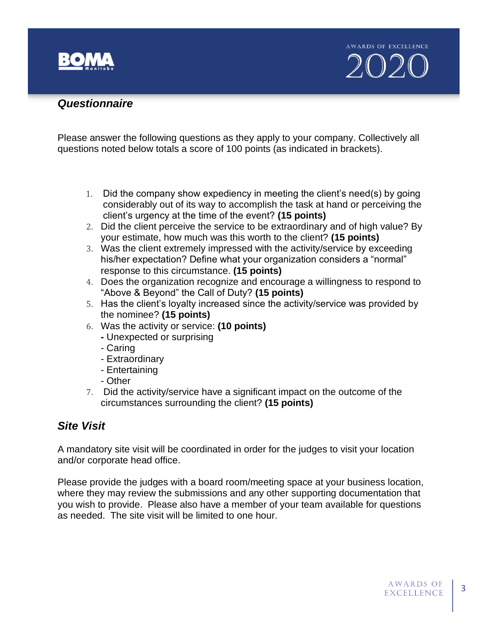

### *Questionnaire*

Please answer the following questions as they apply to your company. Collectively all questions noted below totals a score of 100 points (as indicated in brackets).

- 1. Did the company show expediency in meeting the client's need(s) by going considerably out of its way to accomplish the task at hand or perceiving the client's urgency at the time of the event? **(15 points)**
- 2. Did the client perceive the service to be extraordinary and of high value? By your estimate, how much was this worth to the client? **(15 points)**
- 3. Was the client extremely impressed with the activity/service by exceeding his/her expectation? Define what your organization considers a "normal" response to this circumstance. **(15 points)**
- 4. Does the organization recognize and encourage a willingness to respond to "Above & Beyond" the Call of Duty? **(15 points)**
- 5. Has the client's loyalty increased since the activity/service was provided by the nominee? **(15 points)**
- 6. Was the activity or service: **(10 points)**
	- **-** Unexpected or surprising
	- Caring
	- Extraordinary
	- Entertaining
	- Other
- 7. Did the activity/service have a significant impact on the outcome of the circumstances surrounding the client? **(15 points)**

## *Site Visit*

A mandatory site visit will be coordinated in order for the judges to visit your location and/or corporate head office.

Please provide the judges with a board room/meeting space at your business location, where they may review the submissions and any other supporting documentation that you wish to provide. Please also have a member of your team available for questions as needed. The site visit will be limited to one hour.

3